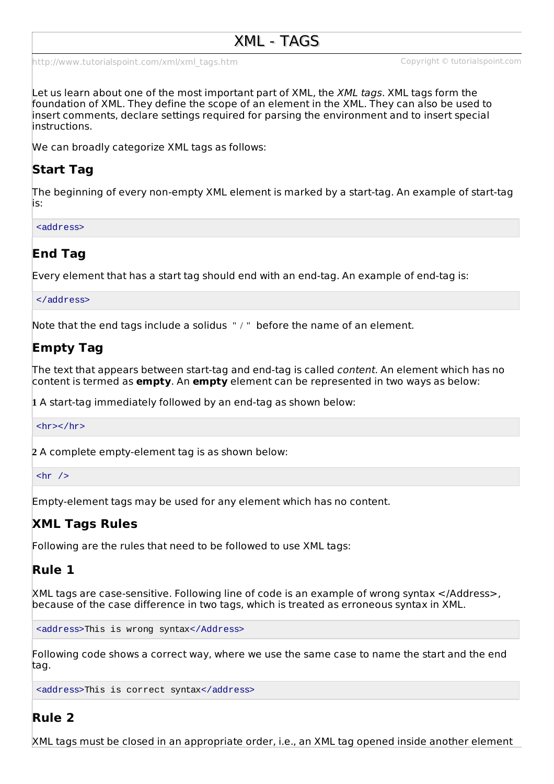[http://www.tutorialspoint.com/xml/xml\\_tags.htm](http://www.tutorialspoint.com/xml/xml_tags.htm) Copyright © tutorialspoint.com

Let us learn about one of the most important part of XML, the *XML tags*. XML tags form the foundation of XML. They define the scope of an element in the XML. They can also be used to insert comments, declare settings required for parsing the environment and to insert special instructions.

We can broadly categorize XML tags as follows:

## **Start Tag**

The beginning of every non-empty XML element is marked by a start-tag. An example of start-tag is:

<address>

## **End Tag**

Every element that has a start tag should end with an end-tag. An example of end-tag is:

</address>

Note that the end tags include a solidus " / " before the name of an element.

# **Empty Tag**

The text that appears between start-tag and end-tag is called content. An element which has no content is termed as **empty**. An **empty** element can be represented in two ways as below:

**1** A start-tag immediately followed by an end-tag as shown below:

 $\langle$ hr> $\langle$ hr>

**2** A complete empty-element tag is as shown below:

 $\text{chr}$  />

Empty-element tags may be used for any element which has no content.

## **XML Tags Rules**

Following are the rules that need to be followed to use XML tags:

## **Rule 1**

XML tags are case-sensitive. Following line of code is an example of wrong syntax </Address>, because of the case difference in two tags, which is treated as erroneous syntax in XML.

<address>This is wrong syntax</Address>

Following code shows a correct way, where we use the same case to name the start and the end tag.

<address>This is correct syntax</address>

### **Rule 2**

XML tags must be closed in an appropriate order, i.e., an XML tag opened inside another element